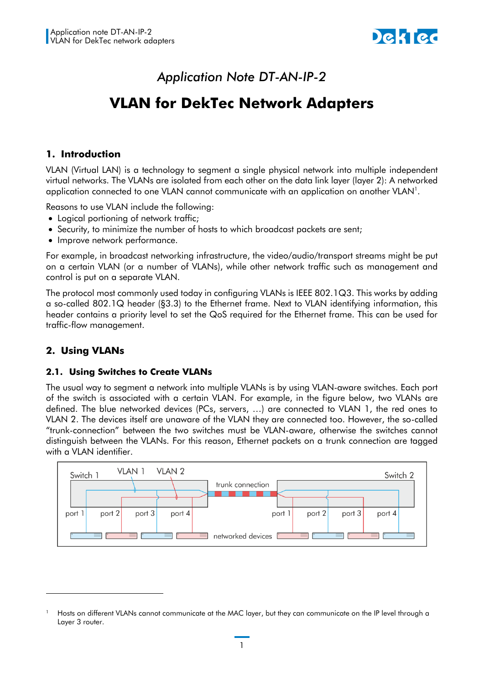

# *Application Note DT-AN-IP-2*

# **VLAN for DekTec Network Adapters**

# **1. Introduction**

VLAN (Virtual LAN) is a technology to segment a single physical network into multiple independent virtual networks. The VLANs are isolated from each other on the data link layer (layer 2): A networked application connected to one VLAN cannot communicate with an application on another VLAN<sup>1</sup>.

Reasons to use VLAN include the following:

- Logical portioning of network traffic;
- Security, to minimize the number of hosts to which broadcast packets are sent;
- Improve network performance.

For example, in broadcast networking infrastructure, the video/audio/transport streams might be put on a certain VLAN (or a number of VLANs), while other network traffic such as management and control is put on a separate VLAN.

The protocol most commonly used today in configuring VLANs is IEEE 802.1[Q3. T](#page-1-0)his works by adding a so-called 802.1Q header ([§3.3\)](#page-2-0) to the Ethernet frame. Next to VLAN identifying information, this header contains a priority level to set the QoS required for the Ethernet frame. This can be used for traffic-flow management.

# **2. Using VLANs**

-

#### **2.1. Using Switches to Create VLANs**

The usual way to segment a network into multiple VLANs is by using VLAN-aware switches. Each port of the switch is associated with a certain VLAN. For example, in the figure below, two VLANs are defined. The blue networked devices (PCs, servers, …) are connected to VLAN 1, the red ones to VLAN 2. The devices itself are unaware of the VLAN they are connected too. However, the so-called "trunk-connection" between the two switches must be VLAN-aware, otherwise the switches cannot distinguish between the VLANs. For this reason, Ethernet packets on a trunk connection are tagged with a VLAN identifier.



Hosts on different VLANs cannot communicate at the MAC layer, but they can communicate on the IP level through a Layer 3 router.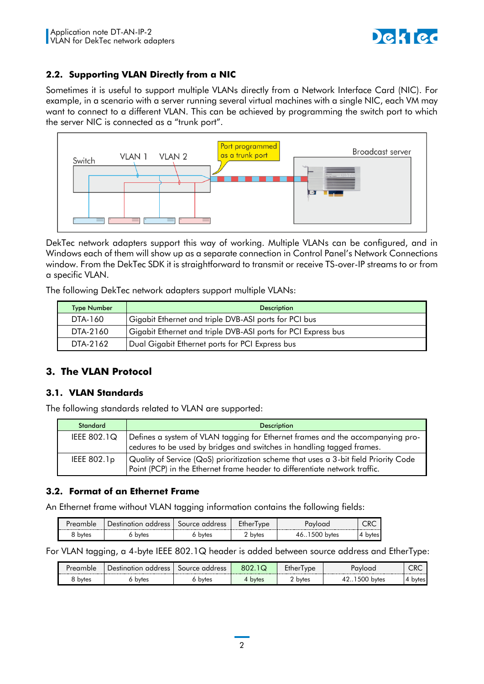

# **2.2. Supporting VLAN Directly from a NIC**

Sometimes it is useful to support multiple VLANs directly from a Network Interface Card (NIC). For example, in a scenario with a server running several virtual machines with a single NIC, each VM may want to connect to a different VLAN. This can be achieved by programming the switch port to which the server NIC is connected as a "trunk port".



DekTec network adapters support this way of working. Multiple VLANs can be configured, and in Windows each of them will show up as a separate connection in Control Panel's Network Connections window. From the DekTec SDK it is straightforward to transmit or receive TS-over-IP streams to or from a specific VLAN.

The following DekTec network adapters support multiple VLANs:

| <b>Type Number</b> | <b>Description</b>                                            |  |
|--------------------|---------------------------------------------------------------|--|
| DTA-160            | Gigabit Ethernet and triple DVB-ASI ports for PCI bus         |  |
| DTA-2160           | Gigabit Ethernet and triple DVB-ASI ports for PCI Express bus |  |
| DTA-2162           | Dual Gigabit Ethernet ports for PCI Express bus               |  |

# <span id="page-1-0"></span>**3. The VLAN Protocol**

# **3.1. VLAN Standards**

The following standards related to VLAN are supported:

| <b>Standard</b> | <b>Description</b>                                                                                                                                                 |
|-----------------|--------------------------------------------------------------------------------------------------------------------------------------------------------------------|
| IEEE 802.1Q     | Defines a system of VLAN tagging for Ethernet frames and the accompanying pro-<br>cedures to be used by bridges and switches in handling tagged frames.            |
| IEEE $802.1p$   | Quality of Service (QoS) prioritization scheme that uses a 3-bit field Priority Code<br>Point (PCP) in the Ethernet frame header to differentiate network traffic. |

# **3.2. Format of an Ethernet Frame**

An Ethernet frame without VLAN tagging information contains the following fields:

| Pream | . address<br>Jestination | Source address | ype   | nvload                 | しへし<br>----- |
|-------|--------------------------|----------------|-------|------------------------|--------------|
| bytes | bytes                    | bytes          | bytes | . 500<br>bytes<br>⁄I A | bytes        |

For VLAN tagging, a 4-byte IEEE 802.1Q header is added between source address and EtherType:

| Proamh<br>ıble | address<br>:>≏ا<br>10r | address<br>SOLIICA. | 802<br>w | -<br>'ype<br>-ther<br>-------------------- | Pavload            | CRC<br>------------------------ |
|----------------|------------------------|---------------------|----------|--------------------------------------------|--------------------|---------------------------------|
| ∽<br>bytes     | bytes                  | bytes               | bytes    | bytes                                      | 500<br>مد<br>bytes | bytes                           |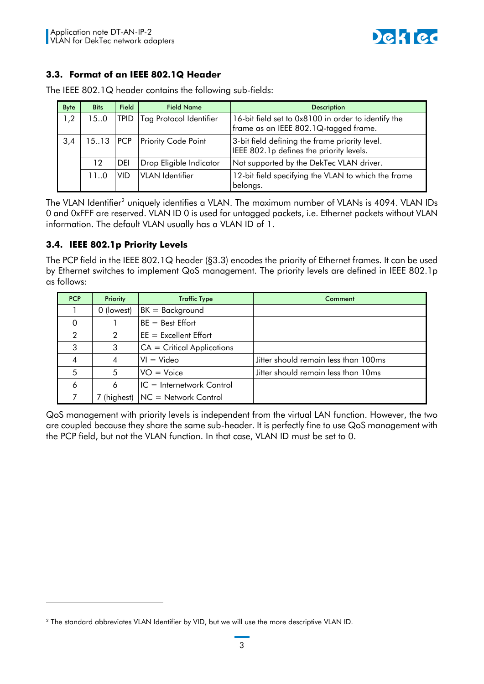

# <span id="page-2-0"></span>**3.3. Format of an IEEE 802.1Q Header**

| Byte | <b>Bits</b> | <b>Field</b> | <b>Field Name</b>          | <b>Description</b>                                                                           |
|------|-------------|--------------|----------------------------|----------------------------------------------------------------------------------------------|
| 1,2  | 150         | TPID.        | Tag Protocol Identifier    | 16-bit field set to 0x8100 in order to identify the<br>frame as an IEEE 802.1Q-tagged frame. |
| 3,4  | $15.13$ PCP |              | <b>Priority Code Point</b> | 3-bit field defining the frame priority level.<br>IEEE 802.1p defines the priority levels.   |
|      | 12          | DEI          | Drop Eligible Indicator    | Not supported by the DekTec VLAN driver.                                                     |
|      | 110         | <b>VID</b>   | <b>VLAN</b> Identifier     | 12-bit field specifying the VLAN to which the frame<br>belongs.                              |

The IEEE 802.1Q header contains the following sub-fields:

The VLAN Identifier $^2$  uniquely identifies a VLAN. The maximum number of VLANs is 4094. VLAN IDs 0 and 0xFFF are reserved. VLAN ID 0 is used for untagged packets, i.e. Ethernet packets without VLAN information. The default VLAN usually has a VLAN ID of 1.

# **3.4. IEEE 802.1p Priority Levels**

-

The PCP field in the IEEE 802.1Q header ([§3.3\)](#page-2-0) encodes the priority of Ethernet frames. It can be used by Ethernet switches to implement QoS management. The priority levels are defined in IEEE 802.1p as follows:

| <b>PCP</b> | <b>Priority</b> | <b>Traffic Type</b>                | Comment                              |
|------------|-----------------|------------------------------------|--------------------------------------|
|            | 0 (lowest)      | $BK = Background$                  |                                      |
| $\Omega$   |                 | $BE = Best Effort$                 |                                      |
| 2          | 2               | $EE = Excellent Effort$            |                                      |
| 3          | 3               | $CA = Critical Applications$       |                                      |
| 4          | 4               | $VI = Video$                       | Jitter should remain less than 100ms |
| 5          | 5               | $VO = Voice$                       | Jitter should remain less than 10ms  |
| 6          | 6               | IC = Internetwork Control          |                                      |
| 7          |                 | 7 (highest)   NC = Network Control |                                      |

QoS management with priority levels is independent from the virtual LAN function. However, the two are coupled because they share the same sub-header. It is perfectly fine to use QoS management with the PCP field, but not the VLAN function. In that case, VLAN ID must be set to 0.

<sup>2</sup> The standard abbreviates VLAN Identifier by VID, but we will use the more descriptive VLAN ID.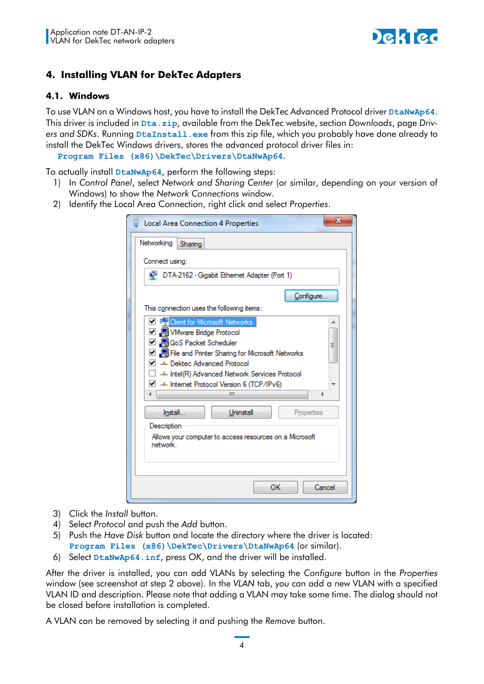

# **4. Installing VLAN for DekTec Adapters**

#### **4.1. Windows**

To use VLAN on a Windows host, you have to install the DekTec Advanced Protocol driver **DtaNwAp64**. This driver is included in **Dta.zip**, available from the DekTec website, section *Downloads*, page *Drivers and SDKs*. Running **DtaInstall.exe** from this zip file, which you probably have done already to install the DekTec Windows drivers, stores the advanced protocol driver files in:

**Program Files (x86)\DekTec\Drivers\DtaNwAp64**.

To actually install **DtaNwAp64**, perform the following steps:

- 1) In *Control Panel*, select *Network and Sharing Center* (or similar, depending on your version of Windows) to show the *Network Connections* window.
- 2) Identify the Local Area Connection, right click and select *Properties*.

| х<br><b>Local Area Connection 4 Properties</b>                                                                                                                                                                                                                                                                  |  |  |
|-----------------------------------------------------------------------------------------------------------------------------------------------------------------------------------------------------------------------------------------------------------------------------------------------------------------|--|--|
| Networking<br>Sharing                                                                                                                                                                                                                                                                                           |  |  |
| Connect using:                                                                                                                                                                                                                                                                                                  |  |  |
| DTA-2162 - Gigabit Ethernet Adapter (Port 1)                                                                                                                                                                                                                                                                    |  |  |
| Configure.                                                                                                                                                                                                                                                                                                      |  |  |
| This connection uses the following items:                                                                                                                                                                                                                                                                       |  |  |
| <b>D C</b> <sub>s</sub> Client for Microsoft Networks<br>□ 및 VMware Bridge Protocol<br>☑ ■ QoS Packet Scheduler<br>Ξ<br>□ 鳥 File and Printer Sharing for Microsoft Networks<br>Dekted Advanced Protocol<br>Intel(R) Advanced Network Services Protocol - شا<br>Internet Protocol Version 6 (TCP/IPv6)<br>∢<br>Ш |  |  |
| Install<br>Uninstall<br>Properties                                                                                                                                                                                                                                                                              |  |  |
| Description<br>Allows your computer to access resources on a Microsoft<br>network                                                                                                                                                                                                                               |  |  |
| OK<br>Cancel                                                                                                                                                                                                                                                                                                    |  |  |

- 3) Click the *Install* button.
- 4) Select *Protocol* and push the *Add* button.
- 5) Push the *Have Disk* button and locate the directory where the driver is located: **Program Files (x86)\DekTec\Drivers\DtaNwAp64** (or similar).
- 6) Select **DtaNwAp64.inf**, press *OK*, and the driver will be installed.

After the driver is installed, you can add VLANs by selecting the *Configure* button in the *Properties* window (see screenshot at step 2 above). In the *VLAN* tab, you can add a new VLAN with a specified VLAN ID and description. Please note that adding a VLAN may take some time. The dialog should not be closed before installation is completed.

A VLAN can be removed by selecting it and pushing the *Remove* button.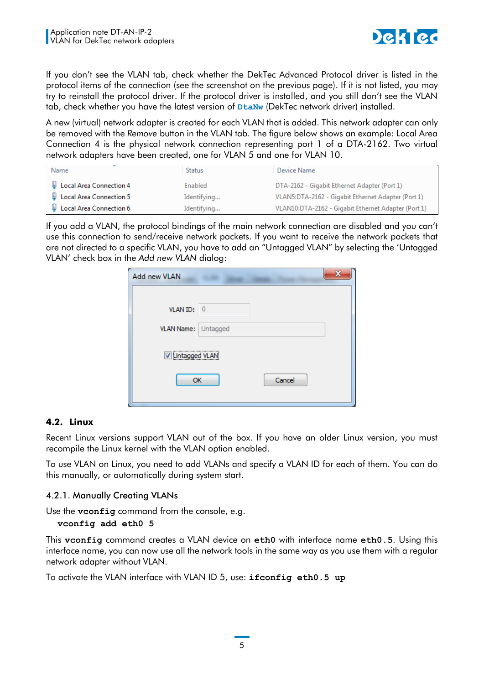

If you don't see the VLAN tab, check whether the DekTec Advanced Protocol driver is listed in the protocol items of the connection (see the screenshot on the previous page). If it is not listed, you may try to reinstall the protocol driver. If the protocol driver is installed, and you still don't see the VLAN tab, check whether you have the latest version of **DtaNw** (DekTec network driver) installed.

A new (virtual) network adapter is created for each VLAN that is added. This network adapter can only be removed with the *Remove* button in the VLAN tab. The figure below shows an example: Local Area Connection 4 is the physical network connection representing port 1 of a DTA-2162. Two virtual network adapters have been created, one for VLAN 5 and one for VLAN 10.

| Name                             | <b>Status</b> | Device Name                                         |
|----------------------------------|---------------|-----------------------------------------------------|
| U Local Area Connection 4        | Enabled       | DTA-2162 - Gigabit Ethernet Adapter (Port 1)        |
| <b>U</b> Local Area Connection 5 | Identifying   | VLAN5:DTA-2162 - Gigabit Ethernet Adapter (Port 1)  |
| Local Area Connection 6          | Identifying   | VLAN10:DTA-2162 - Gigabit Ethernet Adapter (Port 1) |

If you add a VLAN, the protocol bindings of the main network connection are disabled and you can't use this connection to send/receive network packets. If you want to receive the network packets that are not directed to a specific VLAN, you have to add an "Untagged VLAN" by selecting the 'Untagged VLAN' check box in the *Add new VLAN* dialog:

| Add new VLAN        | x      |
|---------------------|--------|
|                     |        |
| VLAN ID: 0          |        |
| VLAN Name: Untagged |        |
| V Untagged VLAN     |        |
| OK                  | Cancel |
|                     |        |

# **4.2. Linux**

Recent Linux versions support VLAN out of the box. If you have an older Linux version, you must recompile the Linux kernel with the VLAN option enabled.

To use VLAN on Linux, you need to add VLANs and specify a VLAN ID for each of them. You can do this manually, or automatically during system start.

# 4.2.1. Manually Creating VLANs

Use the **vconfig** command from the console, e.g.

```
vconfig add eth0 5
```
This **vconfig** command creates a VLAN device on **eth0** with interface name **eth0.5**. Using this interface name, you can now use all the network tools in the same way as you use them with a regular network adapter without VLAN.

To activate the VLAN interface with VLAN ID 5, use: **ifconfig eth0.5 up**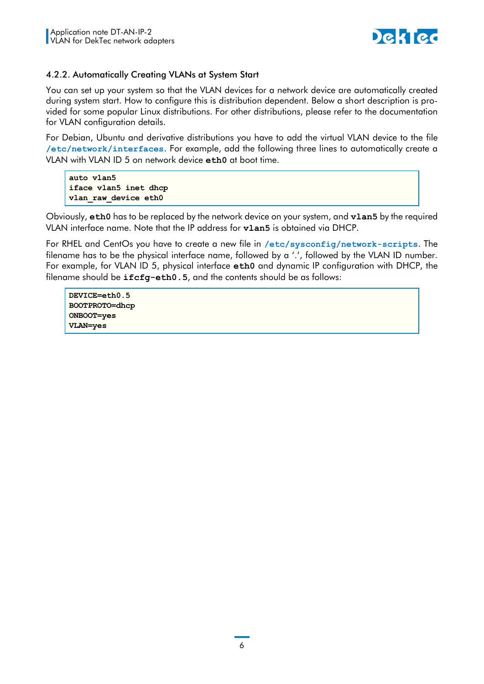

#### 4.2.2. Automatically Creating VLANs at System Start

You can set up your system so that the VLAN devices for a network device are automatically created during system start. How to configure this is distribution dependent. Below a short description is provided for some popular Linux distributions. For other distributions, please refer to the documentation for VLAN configuration details.

For Debian, Ubuntu and derivative distributions you have to add the virtual VLAN device to the file **/etc/network/interfaces**. For example, add the following three lines to automatically create a VLAN with VLAN ID 5 on network device **eth0** at boot time.

**auto vlan5 iface vlan5 inet dhcp vlan\_raw\_device eth0**

Obviously, **eth0** has to be replaced by the network device on your system, and **vlan5** by the required VLAN interface name. Note that the IP address for **vlan5** is obtained via DHCP.

For RHEL and CentOs you have to create a new file in **/etc/sysconfig/network-scripts**. The filename has to be the physical interface name, followed by a '.', followed by the VLAN ID number. For example, for VLAN ID 5, physical interface **eth0** and dynamic IP configuration with DHCP, the filename should be **ifcfg-eth0.5**, and the contents should be as follows:

**DEVICE=eth0.5 BOOTPROTO=dhcp ONBOOT=yes VLAN=yes**